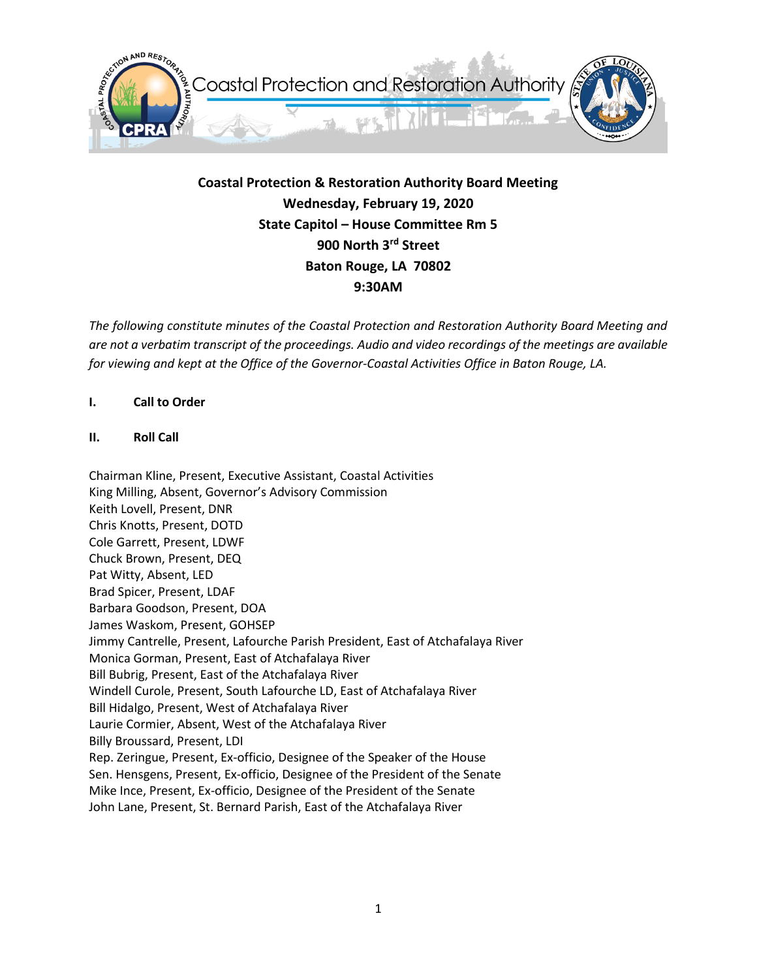

**Coastal Protection & Restoration Authority Board Meeting Wednesday, February 19, 2020 State Capitol – House Committee Rm 5 900 North 3rd Street Baton Rouge, LA 70802 9:30AM**

*The following constitute minutes of the Coastal Protection and Restoration Authority Board Meeting and are not a verbatim transcript of the proceedings. Audio and video recordings of the meetings are available for viewing and kept at the Office of the Governor-Coastal Activities Office in Baton Rouge, LA.* 

# **I. Call to Order**

# **II. Roll Call**

Chairman Kline, Present, Executive Assistant, Coastal Activities King Milling, Absent, Governor's Advisory Commission Keith Lovell, Present, DNR Chris Knotts, Present, DOTD Cole Garrett, Present, LDWF Chuck Brown, Present, DEQ Pat Witty, Absent, LED Brad Spicer, Present, LDAF Barbara Goodson, Present, DOA James Waskom, Present, GOHSEP Jimmy Cantrelle, Present, Lafourche Parish President, East of Atchafalaya River Monica Gorman, Present, East of Atchafalaya River Bill Bubrig, Present, East of the Atchafalaya River Windell Curole, Present, South Lafourche LD, East of Atchafalaya River Bill Hidalgo, Present, West of Atchafalaya River Laurie Cormier, Absent, West of the Atchafalaya River Billy Broussard, Present, LDI Rep. Zeringue, Present, Ex-officio, Designee of the Speaker of the House Sen. Hensgens, Present, Ex-officio, Designee of the President of the Senate Mike Ince, Present, Ex-officio, Designee of the President of the Senate John Lane, Present, St. Bernard Parish, East of the Atchafalaya River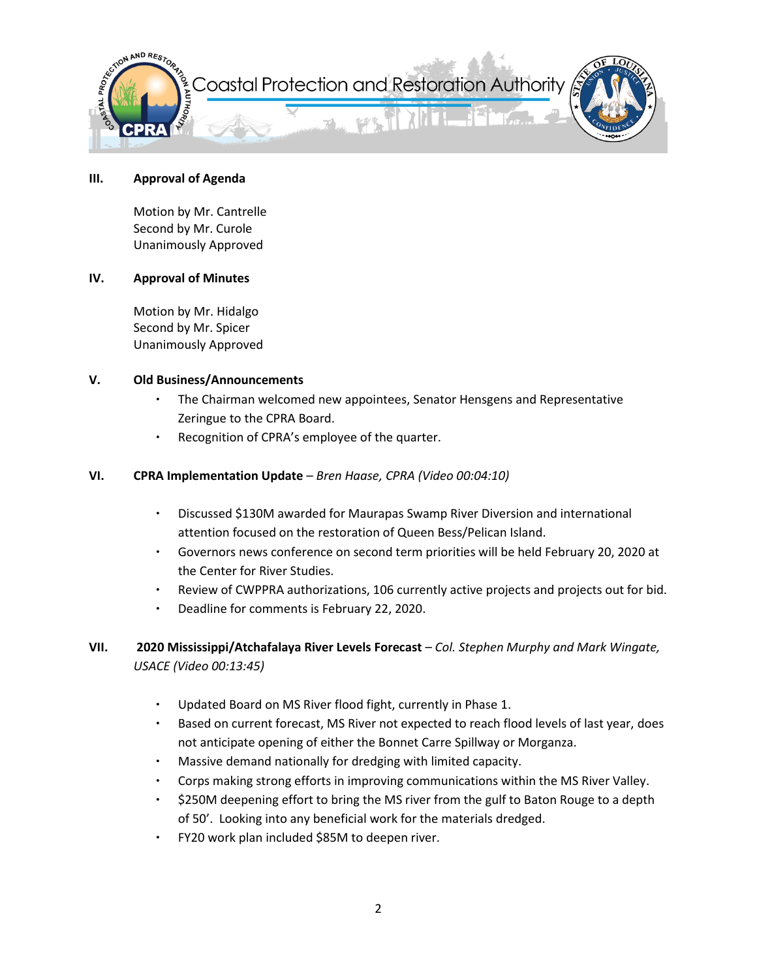

#### **III. Approval of Agenda**

Motion by Mr. Cantrelle Second by Mr. Curole Unanimously Approved

# **IV. Approval of Minutes**

Motion by Mr. Hidalgo Second by Mr. Spicer Unanimously Approved

# **V. Old Business/Announcements**

- ∙ The Chairman welcomed new appointees, Senator Hensgens and Representative Zeringue to the CPRA Board.
- ∙ Recognition of CPRA's employee of the quarter.

# **VI. CPRA Implementation Update** *– Bren Haase, CPRA (Video 00:04:10)*

- ∙ Discussed \$130M awarded for Maurapas Swamp River Diversion and international attention focused on the restoration of Queen Bess/Pelican Island.
- ∙ Governors news conference on second term priorities will be held February 20, 2020 at the Center for River Studies.
- Review of CWPPRA authorizations, 106 currently active projects and projects out for bid.
- ∙ Deadline for comments is February 22, 2020.

# **VII. 2020 Mississippi/Atchafalaya River Levels Forecast** – *Col. Stephen Murphy and Mark Wingate, USACE (Video 00:13:45)*

- ∙ Updated Board on MS River flood fight, currently in Phase 1.
- ∙ Based on current forecast, MS River not expected to reach flood levels of last year, does not anticipate opening of either the Bonnet Carre Spillway or Morganza.
- ∙ Massive demand nationally for dredging with limited capacity.
- ∙ Corps making strong efforts in improving communications within the MS River Valley.
- ∙ \$250M deepening effort to bring the MS river from the gulf to Baton Rouge to a depth of 50'. Looking into any beneficial work for the materials dredged.
- ∙ FY20 work plan included \$85M to deepen river.